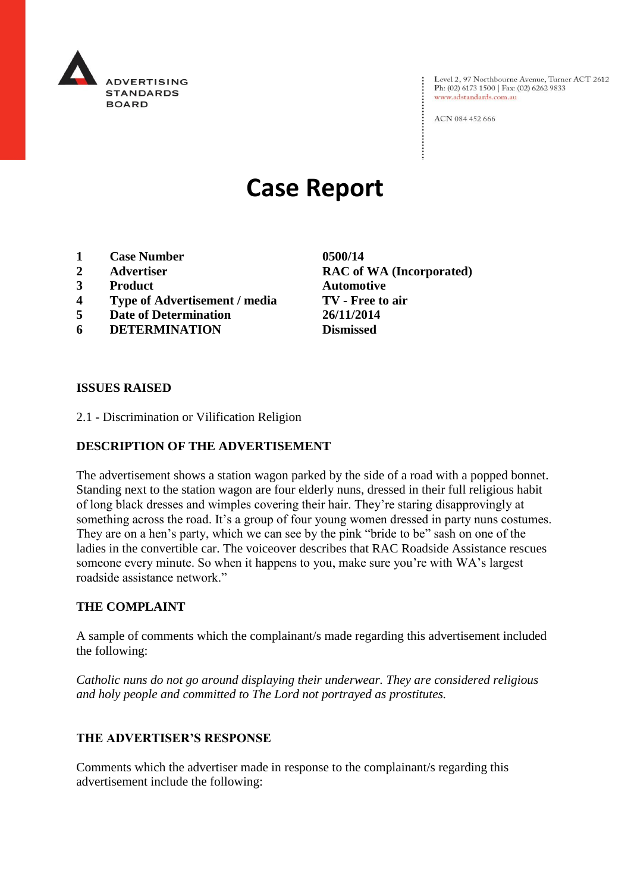

Level 2, 97 Northbourne Avenue, Turner ACT 2612<br>Ph: (02) 6173 1500 | Fax: (02) 6262 9833 www.adstandards.com.au

ACN 084 452 666

# **Case Report**

- **1 Case Number 0500/14**
- 
- **3 Product Automotive**
- **4 Type of Advertisement / media TV - Free to air**
- **5 Date of Determination 26/11/2014**
- **6 DETERMINATION Dismissed**

**2 Advertiser RAC of WA (Incorporated)**

#### **ISSUES RAISED**

2.1 - Discrimination or Vilification Religion

## **DESCRIPTION OF THE ADVERTISEMENT**

The advertisement shows a station wagon parked by the side of a road with a popped bonnet. Standing next to the station wagon are four elderly nuns, dressed in their full religious habit of long black dresses and wimples covering their hair. They're staring disapprovingly at something across the road. It's a group of four young women dressed in party nuns costumes. They are on a hen's party, which we can see by the pink "bride to be" sash on one of the ladies in the convertible car. The voiceover describes that RAC Roadside Assistance rescues someone every minute. So when it happens to you, make sure you're with WA's largest roadside assistance network."

### **THE COMPLAINT**

A sample of comments which the complainant/s made regarding this advertisement included the following:

*Catholic nuns do not go around displaying their underwear. They are considered religious and holy people and committed to The Lord not portrayed as prostitutes.*

## **THE ADVERTISER'S RESPONSE**

Comments which the advertiser made in response to the complainant/s regarding this advertisement include the following: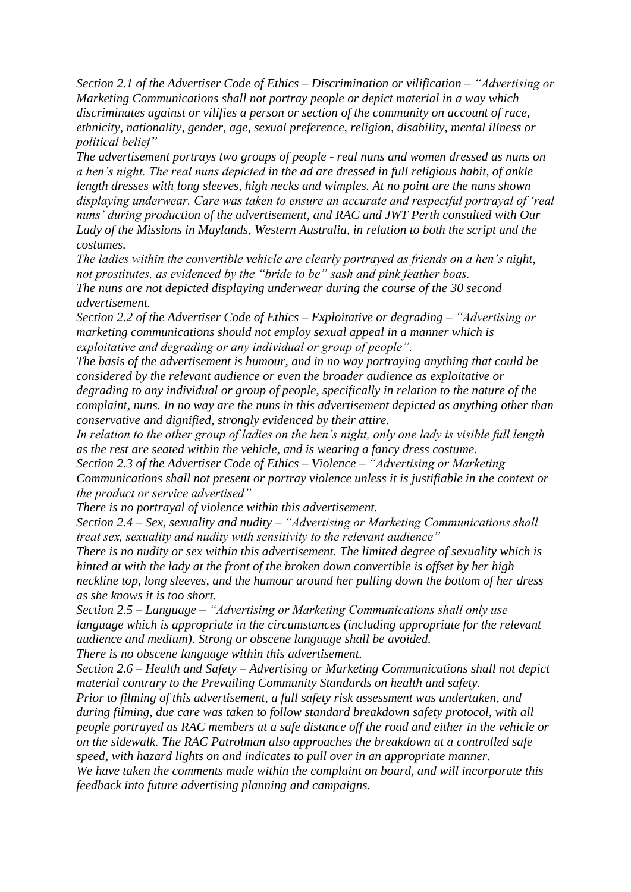*Section 2.1 of the Advertiser Code of Ethics – Discrimination or vilification – "Advertising or Marketing Communications shall not portray people or depict material in a way which discriminates against or vilifies a person or section of the community on account of race, ethnicity, nationality, gender, age, sexual preference, religion, disability, mental illness or political belief"*

*The advertisement portrays two groups of people - real nuns and women dressed as nuns on a hen's night. The real nuns depicted in the ad are dressed in full religious habit, of ankle length dresses with long sleeves, high necks and wimples. At no point are the nuns shown displaying underwear. Care was taken to ensure an accurate and respectful portrayal of 'real nuns' during production of the advertisement, and RAC and JWT Perth consulted with Our Lady of the Missions in Maylands, Western Australia, in relation to both the script and the costumes.*

*The ladies within the convertible vehicle are clearly portrayed as friends on a hen's night, not prostitutes, as evidenced by the "bride to be" sash and pink feather boas. The nuns are not depicted displaying underwear during the course of the 30 second advertisement.*

*Section 2.2 of the Advertiser Code of Ethics – Exploitative or degrading – "Advertising or marketing communications should not employ sexual appeal in a manner which is exploitative and degrading or any individual or group of people".*

*The basis of the advertisement is humour, and in no way portraying anything that could be considered by the relevant audience or even the broader audience as exploitative or degrading to any individual or group of people, specifically in relation to the nature of the complaint, nuns. In no way are the nuns in this advertisement depicted as anything other than conservative and dignified, strongly evidenced by their attire.*

*In relation to the other group of ladies on the hen's night, only one lady is visible full length as the rest are seated within the vehicle, and is wearing a fancy dress costume.*

*Section 2.3 of the Advertiser Code of Ethics – Violence – "Advertising or Marketing Communications shall not present or portray violence unless it is justifiable in the context or the product or service advertised"*

*There is no portrayal of violence within this advertisement.*

*Section 2.4 – Sex, sexuality and nudity – "Advertising or Marketing Communications shall treat sex, sexuality and nudity with sensitivity to the relevant audience"*

*There is no nudity or sex within this advertisement. The limited degree of sexuality which is hinted at with the lady at the front of the broken down convertible is offset by her high neckline top, long sleeves, and the humour around her pulling down the bottom of her dress as she knows it is too short.*

*Section 2.5 – Language – "Advertising or Marketing Communications shall only use language which is appropriate in the circumstances (including appropriate for the relevant audience and medium). Strong or obscene language shall be avoided.*

*There is no obscene language within this advertisement.*

*Section 2.6 – Health and Safety – Advertising or Marketing Communications shall not depict material contrary to the Prevailing Community Standards on health and safety.*

*Prior to filming of this advertisement, a full safety risk assessment was undertaken, and during filming, due care was taken to follow standard breakdown safety protocol, with all people portrayed as RAC members at a safe distance off the road and either in the vehicle or on the sidewalk. The RAC Patrolman also approaches the breakdown at a controlled safe speed, with hazard lights on and indicates to pull over in an appropriate manner.*

*We have taken the comments made within the complaint on board, and will incorporate this feedback into future advertising planning and campaigns.*